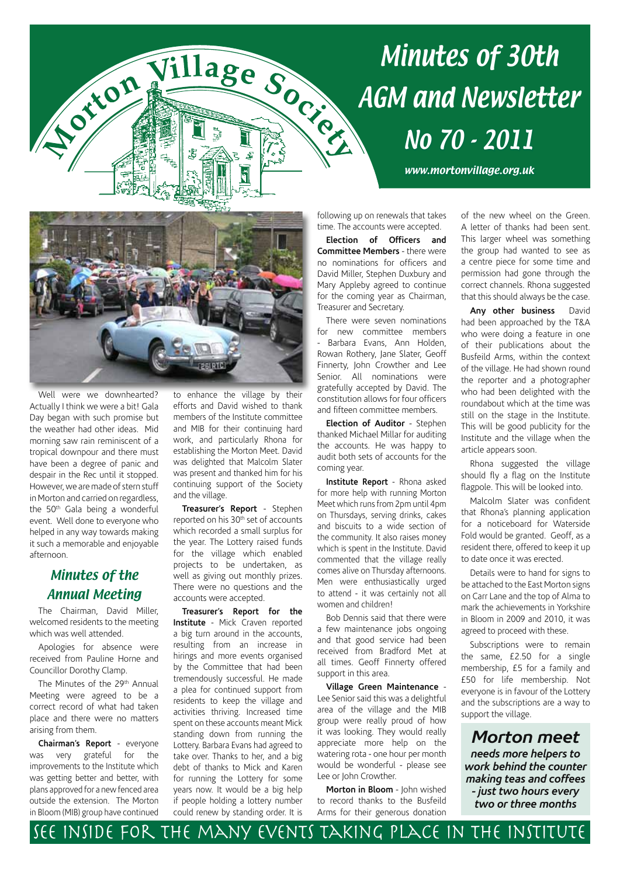# Minutes of 30th Village Soc. AGM and Newsletter No 70 - 2011

www.mortonvillage.org.uk



Well were we downhearted? Actually I think we were a bit! Gala Day began with such promise but the weather had other ideas. Mid morning saw rain reminiscent of a tropical downpour and there must have been a degree of panic and despair in the Rec until it stopped. However, we are made of stern stuff in Morton and carried on regardless, the 50<sup>th</sup> Gala being a wonderful event. Well done to everyone who helped in any way towards making it such a memorable and enjoyable afternoon.

A Criton

#### Minutes of the Annual Meeting

The Chairman, David Miller, welcomed residents to the meeting which was well attended.

Apologies for absence were received from Pauline Horne and Councillor Dorothy Clamp.

The Minutes of the 29<sup>th</sup> Annual Meeting were agreed to be a correct record of what had taken place and there were no matters arising from them.

**Chairman's Report** - everyone was very grateful for the improvements to the Institute which was getting better and better, with plans approved for a new fenced area outside the extension. The Morton in Bloom (MIB) group have continued to enhance the village by their efforts and David wished to thank members of the Institute committee and MIB for their continuing hard work, and particularly Rhona for establishing the Morton Meet. David was delighted that Malcolm Slater was present and thanked him for his continuing support of the Society and the village.

**Treasurer's Report** - Stephen reported on his 30<sup>th</sup> set of accounts which recorded a small surplus for the year. The Lottery raised funds for the village which enabled projects to be undertaken, as well as giving out monthly prizes. There were no questions and the accounts were accepted.

**Treasurer's Report for the Institute** - Mick Craven reported a big turn around in the accounts, resulting from an increase in hirings and more events organised by the Committee that had been tremendously successful. He made a plea for continued support from residents to keep the village and activities thriving. Increased time spent on these accounts meant Mick standing down from running the Lottery. Barbara Evans had agreed to take over. Thanks to her, and a big debt of thanks to Mick and Karen for running the Lottery for some years now. It would be a big help if people holding a lottery number could renew by standing order. It is

following up on renewals that takes time. The accounts were accepted.

**Election of Officers and Committee Members** - there were no nominations for officers and David Miller, Stephen Duxbury and Mary Appleby agreed to continue for the coming year as Chairman, Treasurer and Secretary.

There were seven nominations for new committee members - Barbara Evans, Ann Holden, Rowan Rothery, Jane Slater, Geoff Finnerty, John Crowther and Lee Senior. All nominations were gratefully accepted by David. The constitution allows for four officers and fifteen committee members.

**Election of Auditor** - Stephen thanked Michael Millar for auditing the accounts. He was happy to audit both sets of accounts for the coming year.

**Institute Report** - Rhona asked for more help with running Morton Meet which runs from 2pm until 4pm on Thursdays, serving drinks, cakes and biscuits to a wide section of the community. It also raises money which is spent in the Institute. David commented that the village really comes alive on Thursday afternoons. Men were enthusiastically urged to attend - it was certainly not all women and children!

Bob Dennis said that there were a few maintenance jobs ongoing and that good service had been received from Bradford Met at all times. Geoff Finnerty offered support in this area.

**Village Green Maintenance** - Lee Senior said this was a delightful area of the village and the MIB group were really proud of how it was looking. They would really appreciate more help on the watering rota - one hour per month would be wonderful - please see Lee or John Crowther.

**Morton in Bloom** - John wished to record thanks to the Busfeild Arms for their generous donation of the new wheel on the Green. A letter of thanks had been sent. This larger wheel was something the group had wanted to see as a centre piece for some time and permission had gone through the correct channels. Rhona suggested that this should always be the case.

**Any other business** David had been approached by the T&A who were doing a feature in one of their publications about the Busfeild Arms, within the context of the village. He had shown round the reporter and a photographer who had been delighted with the roundabout which at the time was still on the stage in the Institute. This will be good publicity for the Institute and the village when the article appears soon.

Rhona suggested the village should fly a flag on the Institute flagpole. This will be looked into.

Malcolm Slater was confident that Rhona's planning application for a noticeboard for Waterside Fold would be granted. Geoff, as a resident there, offered to keep it up to date once it was erected.

Details were to hand for signs to be attached to the East Morton signs on Carr Lane and the top of Alma to mark the achievements in Yorkshire in Bloom in 2009 and 2010, it was agreed to proceed with these.

Subscriptions were to remain the same, £2.50 for a single membership, £5 for a family and £50 for life membership. Not everyone is in favour of the Lottery and the subscriptions are a way to support the village.

*Morton meet needs more helpers to work behind the counter making teas and coffees - just two hours every two or three months*

## See inside for the many events taking place in the Institute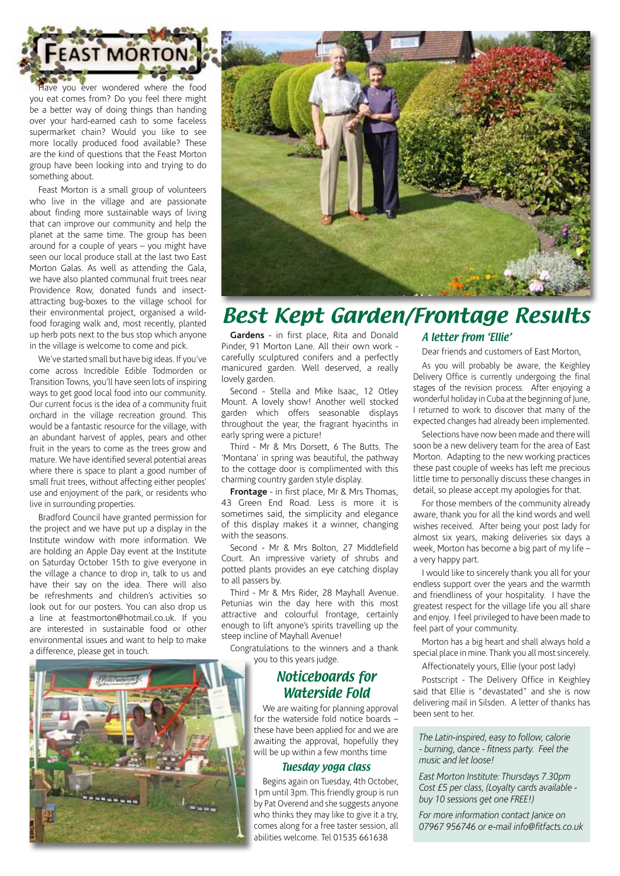

ave you ever wondered where the food you eat comes from? Do you feel there might be a better way of doing things than handing over your hard-earned cash to some faceless supermarket chain? Would you like to see more locally produced food available? These are the kind of questions that the Feast Morton group have been looking into and trying to do something about.

Feast Morton is a small group of volunteers who live in the village and are passionate about finding more sustainable ways of living that can improve our community and help the planet at the same time. The group has been around for a couple of years – you might have seen our local produce stall at the last two East Morton Galas. As well as attending the Gala, we have also planted communal fruit trees near Providence Row, donated funds and insectattracting bug-boxes to the village school for their environmental project, organised a wildfood foraging walk and, most recently, planted up herb pots next to the bus stop which anyone in the village is welcome to come and pick.

We've started small but have big ideas. If you've come across Incredible Edible Todmorden or Transition Towns, you'll have seen lots of inspiring ways to get good local food into our community. Our current focus is the idea of a community fruit orchard in the village recreation ground. This would be a fantastic resource for the village, with an abundant harvest of apples, pears and other fruit in the years to come as the trees grow and mature. We have identified several potential areas where there is space to plant a good number of small fruit trees, without affecting either peoples' use and enjoyment of the park, or residents who live in surrounding properties.

Bradford Council have granted permission for the project and we have put up a display in the Institute window with more information. We are holding an Apple Day event at the Institute on Saturday October 15th to give everyone in the village a chance to drop in, talk to us and have their say on the idea. There will also be refreshments and children's activities so look out for our posters. You can also drop us a line at feastmorton@hotmail.co.uk. If you are interested in sustainable food or other environmental issues and want to help to make a difference, please get in touch.





# Best Kept Garden/Frontage Results

**Gardens** - in first place, Rita and Donald Pinder, 91 Morton Lane. All their own work carefully sculptured conifers and a perfectly manicured garden. Well deserved, a really lovely garden.

Second - Stella and Mike Isaac, 12 Otley Mount. A lovely show! Another well stocked garden which offers seasonable displays throughout the year, the fragrant hyacinths in early spring were a picture!

Third - Mr & Mrs Dorsett, 6 The Butts. The 'Montana' in spring was beautiful, the pathway to the cottage door is complimented with this charming country garden style display.

**Frontage** - in first place, Mr & Mrs Thomas, 43 Green End Road. Less is more it is sometimes said, the simplicity and elegance of this display makes it a winner, changing with the seasons.

Second - Mr & Mrs Bolton, 27 Middlefield Court. An impressive variety of shrubs and potted plants provides an eye catching display to all passers by.

Third - Mr & Mrs Rider, 28 Mayhall Avenue. Petunias win the day here with this most attractive and colourful frontage, certainly enough to lift anyone's spirits travelling up the steep incline of Mayhall Avenue!

Congratulations to the winners and a thank you to this years judge.

#### Noticeboards for Waterside Fold

We are waiting for planning approval for the waterside fold notice boards – these have been applied for and we are awaiting the approval, hopefully they will be up within a few months time

#### Tuesday yoga class

Begins again on Tuesday, 4th October, 1pm until 3pm. This friendly group is run by Pat Overend and she suggests anyone who thinks they may like to give it a try, comes along for a free taster session, all abilities welcome. Tel 01535 661638

#### A letter from 'Ellie'

Dear friends and customers of East Morton,

As you will probably be aware, the Keighley Delivery Office is currently undergoing the final stages of the revision process. After enjoying a wonderful holiday in Cuba at the beginning of June, I returned to work to discover that many of the expected changes had already been implemented.

Selections have now been made and there will soon be a new delivery team for the area of East Morton. Adapting to the new working practices these past couple of weeks has left me precious little time to personally discuss these changes in detail, so please accept my apologies for that.

For those members of the community already aware, thank you for all the kind words and well wishes received. After being your post lady for almost six years, making deliveries six days a week, Morton has become a big part of my life – a very happy part.

I would like to sincerely thank you all for your endless support over the years and the warmth and friendliness of your hospitality. I have the greatest respect for the village life you all share and enjoy. I feel privileged to have been made to feel part of your community.

Morton has a big heart and shall always hold a special place in mine. Thank you all most sincerely.

Affectionately yours, Ellie (your post lady)

Postscript - The Delivery Office in Keighley said that Ellie is "devastated" and she is now delivering mail in Silsden. A letter of thanks has been sent to her.

*The Latin-inspired, easy to follow, calorie - burning, dance - fitness party. Feel the music and let loose!*

*East Morton Institute: Thursdays 7.30pm Cost £5 per class, (Loyalty cards available buy 10 sessions get one FREE!)*

*For more information contact Janice on 07967 956746 or e-mail info@fitfacts.co.uk*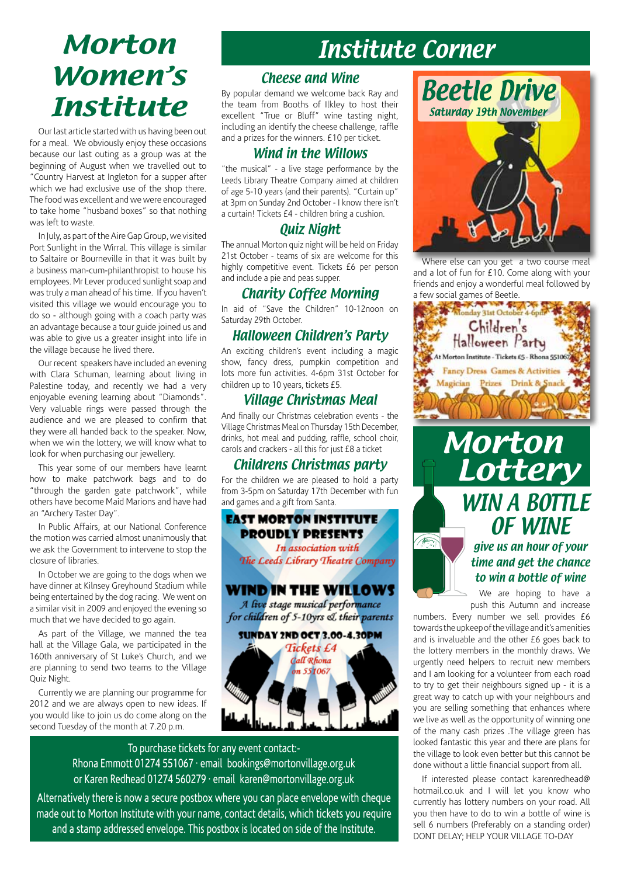# Morton Women's Institute

Our last article started with us having been out for a meal. We obviously enjoy these occasions because our last outing as a group was at the beginning of August when we travelled out to "Country Harvest at Ingleton for a supper after which we had exclusive use of the shop there. The food was excellent and we were encouraged to take home "husband boxes" so that nothing was left to waste.

In July, as part of the Aire Gap Group, we visited Port Sunlight in the Wirral. This village is similar to Saltaire or Bourneville in that it was built by a business man-cum-philanthropist to house his employees. Mr Lever produced sunlight soap and was truly a man ahead of his time. If you haven't visited this village we would encourage you to do so - although going with a coach party was an advantage because a tour guide joined us and was able to give us a greater insight into life in the village because he lived there.

Our recent speakers have included an evening with Clara Schuman, learning about living in Palestine today, and recently we had a very enjoyable evening learning about "Diamonds". Very valuable rings were passed through the audience and we are pleased to confirm that they were all handed back to the speaker. Now, when we win the lottery, we will know what to look for when purchasing our jewellery.

This year some of our members have learnt how to make patchwork bags and to do "through the garden gate patchwork", while others have become Maid Marions and have had an "Archery Taster Day".

In Public Affairs, at our National Conference the motion was carried almost unanimously that we ask the Government to intervene to stop the closure of libraries.

In October we are going to the dogs when we have dinner at Kilnsey Greyhound Stadium while being entertained by the dog racing. We went on a similar visit in 2009 and enjoyed the evening so much that we have decided to go again.

As part of the Village, we manned the tea hall at the Village Gala, we participated in the 160th anniversary of St Luke's Church, and we are planning to send two teams to the Village Quiz Night.

Currently we are planning our programme for 2012 and we are always open to new ideas. If you would like to join us do come along on the second Tuesday of the month at 7.20 p.m.

# Institute Corner

#### Cheese and Wine

By popular demand we welcome back Ray and the team from Booths of Ilkley to host their excellent "True or Bluff" wine tasting night, including an identify the cheese challenge, raffle and a prizes for the winners. £10 per ticket.

#### Wind in the Willows

"the musical" - a live stage performance by the Leeds Library Theatre Company aimed at children of age 5-10 years (and their parents). "Curtain up" at 3pm on Sunday 2nd October - I know there isn't a curtain! Tickets £4 - children bring a cushion.

### Quiz Night

The annual Morton quiz night will be held on Friday 21st October - teams of six are welcome for this highly competitive event. Tickets £6 per person and include a pie and peas supper.

#### Charity Coffee Morning

In aid of "Save the Children" 10-12noon on Saturday 29th October.

### Halloween Children's Party

An exciting children's event including a magic show, fancy dress, pumpkin competition and lots more fun activities. 4-6pm 31st October for children up to 10 years, tickets £5.

### Village Christmas Meal

And finally our Christmas celebration events - the Village Christmas Meal on Thursday 15th December, drinks, hot meal and pudding, raffle, school choir, carols and crackers - all this for just £8 a ticket

### Childrens Christmas party

For the children we are pleased to hold a party from 3-5pm on Saturday 17th December with fun



To purchase tickets for any event contact:- Rhona Emmott 01274 551067 · email bookings@mortonvillage.org.uk or Karen Redhead 01274 560279 · email karen@mortonvillage.org.uk

Alternatively there is now a secure postbox where you can place envelope with cheque made out to Morton Institute with your name, contact details, which tickets you require and a stamp addressed envelope. This postbox is located on side of the Institute.



Where else can you get a two course meal and a lot of fun for £10. Come along with your friends and enjoy a wonderful meal followed by



A

### give us an hour of your time and get the chance to win a bottle of wine

OF WINE

We are hoping to have a push this Autumn and increase

numbers. Every number we sell provides £6 towards the upkeep of the village and it's amenities and is invaluable and the other £6 goes back to the lottery members in the monthly draws. We urgently need helpers to recruit new members and I am looking for a volunteer from each road to try to get their neighbours signed up - it is a great way to catch up with your neighbours and you are selling something that enhances where we live as well as the opportunity of winning one of the many cash prizes .The village green has looked fantastic this year and there are plans for the village to look even better but this cannot be done without a little financial support from all.

If interested please contact karenredhead@ hotmail.co.uk and I will let you know who currently has lottery numbers on your road. All you then have to do to win a bottle of wine is sell 6 numbers (Preferably on a standing order) DONT DELAY; HELP YOUR VILLAGE TO-DAY